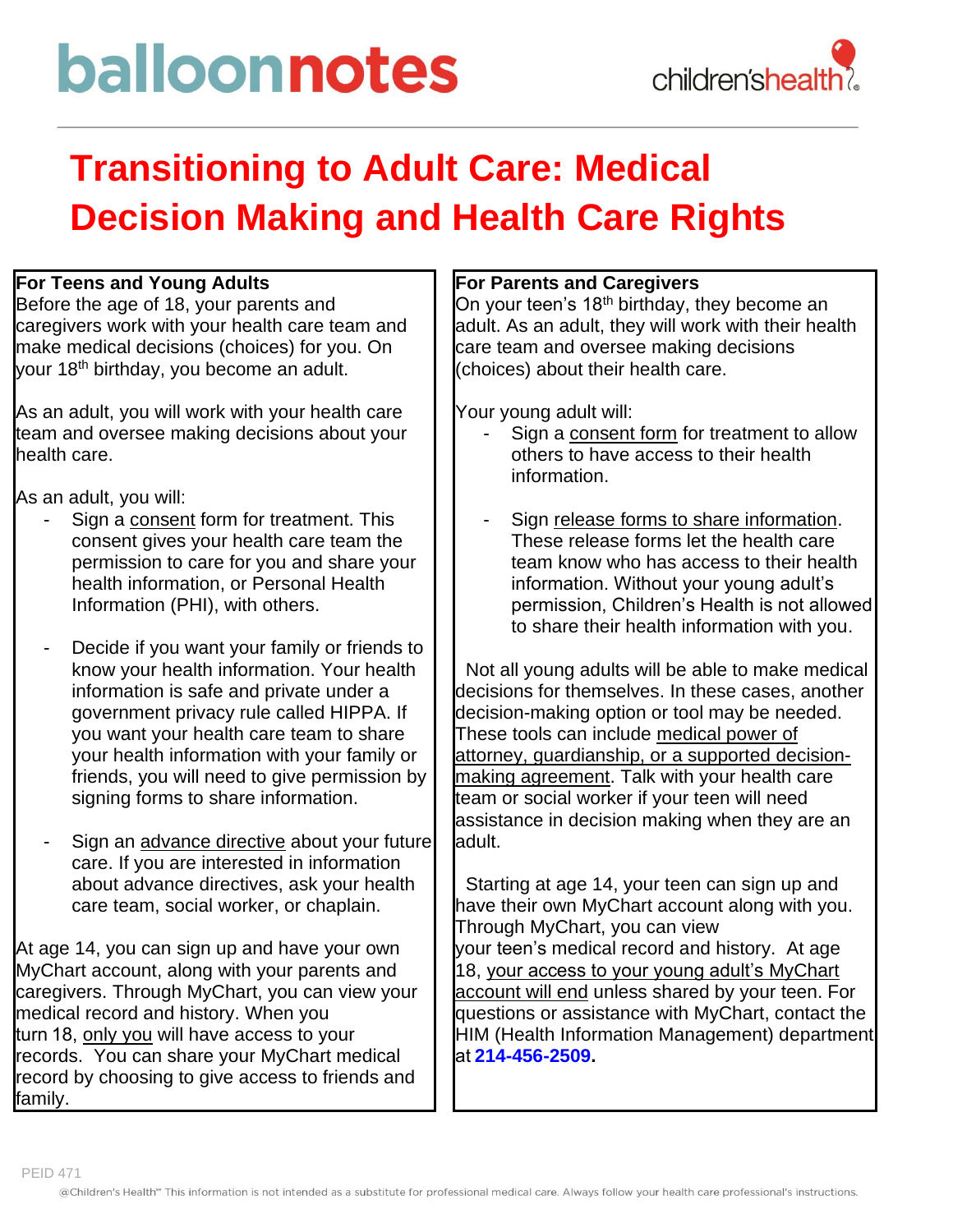# balloonnotes

### **Transitioning to Adult Care: Medical Decision Making and Health Care Rights**

#### **For Teens and Young Adults**

Before the age of 18, your parents and caregivers work with your health care team and make medical decisions (choices) for you. On your 18th birthday, you become an adult.

As an adult, you will work with your health care team and oversee making decisions about your health care.

As an adult, you will:

- Sign a consent form for treatment. This consent gives your health care team the permission to care for you and share your health information, or Personal Health Information (PHI), with others.
- Decide if you want your family or friends to know your health information. Your health information is safe and private under a government privacy rule called HIPPA. If you want your health care team to share your health information with your family or friends, you will need to give permission by signing forms to share information.
- Sign an advance directive about your future care. If you are interested in information about advance directives, ask your health care team, social worker, or chaplain.

At age 14, you can sign up and have your own MyChart account, along with your parents and caregivers. Through MyChart, you can view your medical record and history. When you turn 18, only you will have access to your records. You can share your MyChart medical record by choosing to give access to friends and family.

#### **For Parents and Caregivers**

On your teen's 18<sup>th</sup> birthday, they become an adult. As an adult, they will work with their health care team and oversee making decisions (choices) about their health care.

Your young adult will:

- Sign a consent form for treatment to allow others to have access to their health information.
- Sign release forms to share information. These release forms let the health care team know who has access to their health information. Without your young adult's permission, Children's Health is not allowed to share their health information with you.

 Not all young adults will be able to make medical decisions for themselves. In these cases, another decision-making option or tool may be needed. These tools can include medical power of attorney, guardianship, or a supported decisionmaking agreement. Talk with your health care team or social worker if your teen will need assistance in decision making when they are an adult.

 Starting at age 14, your teen can sign up and have their own MyChart account along with you. Through MyChart, you can view your teen's medical record and history. At age 18, your access to your young adult's MyChart account will end unless shared by your teen. For questions or assistance with MyChart, contact the HIM (Health Information Management) department at **[214-456-2509.](tel:214-456-2509)**